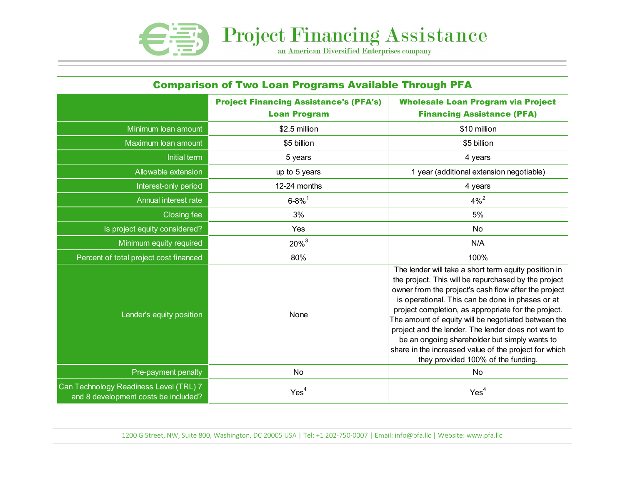

| <b>Comparison of Two Loan Programs Available Through PFA</b>                   |                                                                      |                                                                                                                                                                                                                                                                                                                                                                                                                                                                                                                                               |  |
|--------------------------------------------------------------------------------|----------------------------------------------------------------------|-----------------------------------------------------------------------------------------------------------------------------------------------------------------------------------------------------------------------------------------------------------------------------------------------------------------------------------------------------------------------------------------------------------------------------------------------------------------------------------------------------------------------------------------------|--|
|                                                                                | <b>Project Financing Assistance's (PFA's)</b><br><b>Loan Program</b> | <b>Wholesale Loan Program via Project</b><br><b>Financing Assistance (PFA)</b>                                                                                                                                                                                                                                                                                                                                                                                                                                                                |  |
| Minimum loan amount                                                            | \$2.5 million                                                        | \$10 million                                                                                                                                                                                                                                                                                                                                                                                                                                                                                                                                  |  |
| Maximum loan amount                                                            | \$5 billion                                                          | \$5 billion                                                                                                                                                                                                                                                                                                                                                                                                                                                                                                                                   |  |
| Initial term                                                                   | 5 years                                                              | 4 years                                                                                                                                                                                                                                                                                                                                                                                                                                                                                                                                       |  |
| Allowable extension                                                            | up to 5 years                                                        | 1 year (additional extension negotiable)                                                                                                                                                                                                                                                                                                                                                                                                                                                                                                      |  |
| Interest-only period                                                           | 12-24 months                                                         | 4 years                                                                                                                                                                                                                                                                                                                                                                                                                                                                                                                                       |  |
| <b>Annual interest rate</b>                                                    | $6 - 8\%$ <sup>1</sup>                                               | $4\%^{2}$                                                                                                                                                                                                                                                                                                                                                                                                                                                                                                                                     |  |
| Closing fee                                                                    | 3%                                                                   | 5%                                                                                                                                                                                                                                                                                                                                                                                                                                                                                                                                            |  |
| Is project equity considered?                                                  | Yes                                                                  | No                                                                                                                                                                                                                                                                                                                                                                                                                                                                                                                                            |  |
| Minimum equity required                                                        | $20\%^{3}$                                                           | N/A                                                                                                                                                                                                                                                                                                                                                                                                                                                                                                                                           |  |
| Percent of total project cost financed                                         | 80%                                                                  | 100%                                                                                                                                                                                                                                                                                                                                                                                                                                                                                                                                          |  |
| Lender's equity position                                                       | None                                                                 | The lender will take a short term equity position in<br>the project. This will be repurchased by the project<br>owner from the project's cash flow after the project<br>is operational. This can be done in phases or at<br>project completion, as appropriate for the project.<br>The amount of equity will be negotiated between the<br>project and the lender. The lender does not want to<br>be an ongoing shareholder but simply wants to<br>share in the increased value of the project for which<br>they provided 100% of the funding. |  |
| Pre-payment penalty                                                            | <b>No</b>                                                            | No                                                                                                                                                                                                                                                                                                                                                                                                                                                                                                                                            |  |
| Can Technology Readiness Level (TRL) 7<br>and 8 development costs be included? | Yes <sup>4</sup>                                                     | Yes <sup>4</sup>                                                                                                                                                                                                                                                                                                                                                                                                                                                                                                                              |  |

1200 G Street, NW, Suite 800, Washington, DC 20005 USA | Tel: +1 202-750-0007 | Email: info@pfa.llc | Website: www.pfa.llc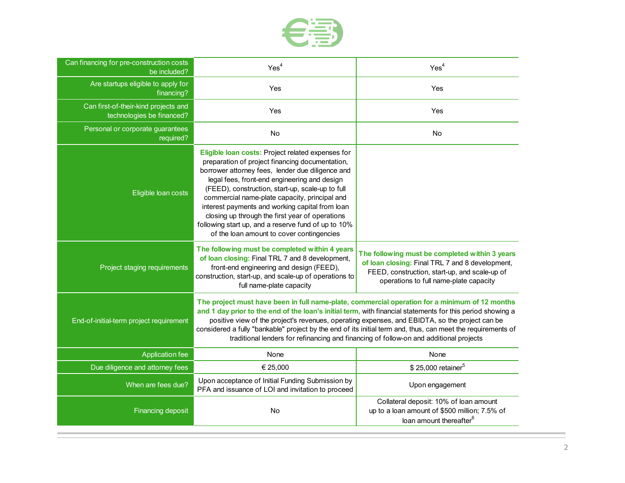

| Can financing for pre-construction costs<br>be included?          | Yes <sup>4</sup>                                                                                                                                                                                                                                                                                                                                                                                                                                                                                                         | Yes <sup>4</sup>                                                                                                                                                                             |
|-------------------------------------------------------------------|--------------------------------------------------------------------------------------------------------------------------------------------------------------------------------------------------------------------------------------------------------------------------------------------------------------------------------------------------------------------------------------------------------------------------------------------------------------------------------------------------------------------------|----------------------------------------------------------------------------------------------------------------------------------------------------------------------------------------------|
| Are startups eligible to apply for<br>financing?                  | Yes                                                                                                                                                                                                                                                                                                                                                                                                                                                                                                                      | Yes                                                                                                                                                                                          |
| Can first-of-their-kind projects and<br>technologies be financed? | Yes                                                                                                                                                                                                                                                                                                                                                                                                                                                                                                                      | Yes                                                                                                                                                                                          |
| Personal or corporate guarantees<br>required?                     | No                                                                                                                                                                                                                                                                                                                                                                                                                                                                                                                       | No                                                                                                                                                                                           |
| Eligible loan costs                                               | Eligible loan costs: Project related expenses for<br>preparation of project financing documentation,<br>borrower attorney fees, lender due diligence and<br>legal fees, front-end engineering and design<br>(FEED), construction, start-up, scale-up to full<br>commercial name-plate capacity, principal and<br>interest payments and working capital from loan<br>closing up through the first year of operations<br>following start up, and a reserve fund of up to 10%<br>of the loan amount to cover contingencies  |                                                                                                                                                                                              |
| Project staging requirements                                      | The following must be completed within 4 years<br>of loan closing: Final TRL 7 and 8 development,<br>front-end engineering and design (FEED),<br>construction, start-up, and scale-up of operations to<br>full name-plate capacity                                                                                                                                                                                                                                                                                       | The following must be completed within 3 years<br>of loan closing: Final TRL 7 and 8 development,<br>FEED, construction, start-up, and scale-up of<br>operations to full name-plate capacity |
| End-of-initial-term project requirement                           | The project must have been in full name-plate, commercial operation for a minimum of 12 months<br>and 1 day prior to the end of the loan's initial term, with financial statements for this period showing a<br>positive view of the project's revenues, operating expenses, and EBIDTA, so the project can be<br>considered a fully "bankable" project by the end of its initial term and, thus, can meet the requirements of<br>traditional lenders for refinancing and financing of follow-on and additional projects |                                                                                                                                                                                              |
| <b>Application fee</b>                                            | None                                                                                                                                                                                                                                                                                                                                                                                                                                                                                                                     | None                                                                                                                                                                                         |
| Due diligence and attorney fees                                   | € 25,000                                                                                                                                                                                                                                                                                                                                                                                                                                                                                                                 | \$25,000 retainer <sup>5</sup>                                                                                                                                                               |
| When are fees due?                                                | Upon acceptance of Initial Funding Submission by<br>PFA and issuance of LOI and invitation to proceed                                                                                                                                                                                                                                                                                                                                                                                                                    | Upon engagement                                                                                                                                                                              |
| <b>Financing deposit</b>                                          | No                                                                                                                                                                                                                                                                                                                                                                                                                                                                                                                       | Collateral deposit: 10% of loan amount<br>up to a loan amount of \$500 million; 7.5% of<br>loan amount thereafter <sup>6</sup>                                                               |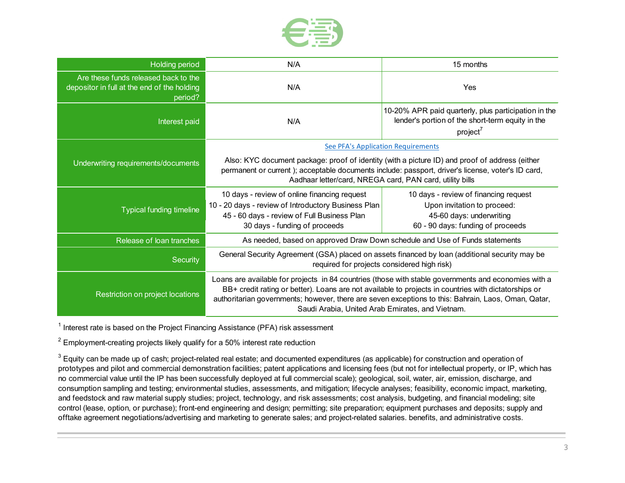

| Holding period                                                                                 | N/A                                                                                                                                                                                                                                                                                                                                                                     | 15 months                                                                                                                             |  |  |
|------------------------------------------------------------------------------------------------|-------------------------------------------------------------------------------------------------------------------------------------------------------------------------------------------------------------------------------------------------------------------------------------------------------------------------------------------------------------------------|---------------------------------------------------------------------------------------------------------------------------------------|--|--|
| Are these funds released back to the<br>depositor in full at the end of the holding<br>period? | N/A                                                                                                                                                                                                                                                                                                                                                                     | Yes                                                                                                                                   |  |  |
| Interest paid                                                                                  | N/A                                                                                                                                                                                                                                                                                                                                                                     | 10-20% APR paid quarterly, plus participation in the<br>lender's portion of the short-term equity in the<br>project <sup>7</sup>      |  |  |
|                                                                                                | <b>See PFA's Application Requirements</b>                                                                                                                                                                                                                                                                                                                               |                                                                                                                                       |  |  |
| Underwriting requirements/documents                                                            | Also: KYC document package: proof of identity (with a picture ID) and proof of address (either<br>permanent or current); acceptable documents include: passport, driver's license, voter's ID card,<br>Aadhaar letter/card, NREGA card, PAN card, utility bills                                                                                                         |                                                                                                                                       |  |  |
| <b>Typical funding timeline</b>                                                                | 10 days - review of online financing request<br>10 - 20 days - review of Introductory Business Plan<br>45 - 60 days - review of Full Business Plan<br>30 days - funding of proceeds                                                                                                                                                                                     | 10 days - review of financing request<br>Upon invitation to proceed:<br>45-60 days: underwriting<br>60 - 90 days: funding of proceeds |  |  |
| Release of loan tranches                                                                       | As needed, based on approved Draw Down schedule and Use of Funds statements                                                                                                                                                                                                                                                                                             |                                                                                                                                       |  |  |
| Security                                                                                       | General Security Agreement (GSA) placed on assets financed by loan (additional security may be<br>required for projects considered high risk)                                                                                                                                                                                                                           |                                                                                                                                       |  |  |
| Restriction on project locations                                                               | Loans are available for projects in 84 countries (those with stable governments and economies with a<br>BB+ credit rating or better). Loans are not available to projects in countries with dictatorships or<br>authoritarian governments; however, there are seven exceptions to this: Bahrain, Laos, Oman, Qatar,<br>Saudi Arabia, United Arab Emirates, and Vietnam. |                                                                                                                                       |  |  |

 $1$  Interest rate is based on the Project Financing Assistance (PFA) risk assessment

 $^{\rm 2}$  Employment-creating projects likely qualify for a 50% interest rate reduction

 $^3$  Equity can be made up of cash; project-related real estate; and documented expenditures (as applicable) for construction and operation of prototypes and pilot and commercial demonstration facilities; patent applications and licensing fees (but not for intellectual property, or IP, which has no commercial value until the IP has been successfully deployed at full commercial scale); geological, soil, water, air, emission, discharge, and consumption sampling and testing; environmental studies, assessments, and mitigation; lifecycle analyses; feasibility, economic impact, marketing, and feedstock and raw material supply studies; project, technology, and risk assessments; cost analysis, budgeting, and financial modeling; site control (lease, option, or purchase); front-end engineering and design; permitting; site preparation; equipment purchases and deposits; supply and offtake agreement negotiations/advertising and marketing to generate sales; and project-related salaries. benefits, and administrative costs.